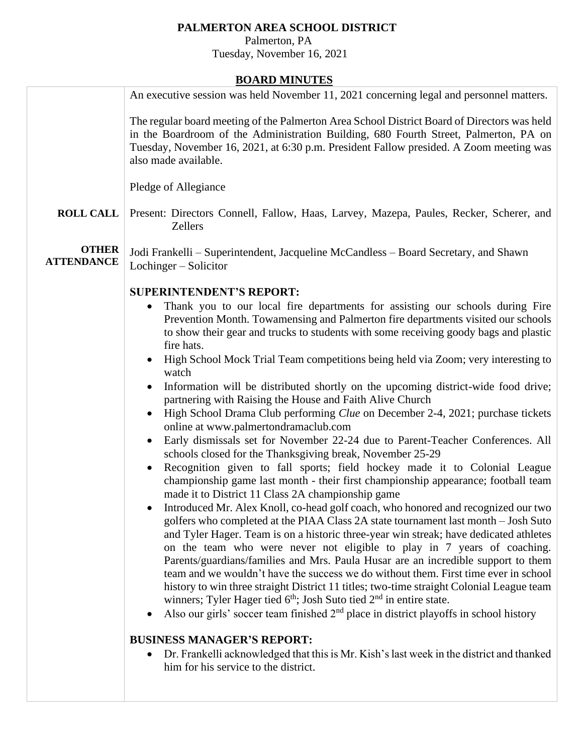## **PALMERTON AREA SCHOOL DISTRICT**

 Palmerton, PA Tuesday, November 16, 2021

## **BOARD MINUTES**

|                                   | <b>DOAIND MILITO LED</b>                                                                                                                                                                                                                                                                                                                                                                                                                                                                                                                                                                                                                                                                                                                                                                    |
|-----------------------------------|---------------------------------------------------------------------------------------------------------------------------------------------------------------------------------------------------------------------------------------------------------------------------------------------------------------------------------------------------------------------------------------------------------------------------------------------------------------------------------------------------------------------------------------------------------------------------------------------------------------------------------------------------------------------------------------------------------------------------------------------------------------------------------------------|
|                                   | An executive session was held November 11, 2021 concerning legal and personnel matters.                                                                                                                                                                                                                                                                                                                                                                                                                                                                                                                                                                                                                                                                                                     |
|                                   | The regular board meeting of the Palmerton Area School District Board of Directors was held<br>in the Boardroom of the Administration Building, 680 Fourth Street, Palmerton, PA on<br>Tuesday, November 16, 2021, at 6:30 p.m. President Fallow presided. A Zoom meeting was<br>also made available.                                                                                                                                                                                                                                                                                                                                                                                                                                                                                       |
|                                   | Pledge of Allegiance                                                                                                                                                                                                                                                                                                                                                                                                                                                                                                                                                                                                                                                                                                                                                                        |
| <b>ROLL CALL</b>                  | Present: Directors Connell, Fallow, Haas, Larvey, Mazepa, Paules, Recker, Scherer, and<br><b>Zellers</b>                                                                                                                                                                                                                                                                                                                                                                                                                                                                                                                                                                                                                                                                                    |
| <b>OTHER</b><br><b>ATTENDANCE</b> | Jodi Frankelli – Superintendent, Jacqueline McCandless – Board Secretary, and Shawn<br>Lochinger – Solicitor                                                                                                                                                                                                                                                                                                                                                                                                                                                                                                                                                                                                                                                                                |
|                                   | <b>SUPERINTENDENT'S REPORT:</b>                                                                                                                                                                                                                                                                                                                                                                                                                                                                                                                                                                                                                                                                                                                                                             |
|                                   | Thank you to our local fire departments for assisting our schools during Fire<br>Prevention Month. Towamensing and Palmerton fire departments visited our schools<br>to show their gear and trucks to students with some receiving goody bags and plastic<br>fire hats.                                                                                                                                                                                                                                                                                                                                                                                                                                                                                                                     |
|                                   | High School Mock Trial Team competitions being held via Zoom; very interesting to                                                                                                                                                                                                                                                                                                                                                                                                                                                                                                                                                                                                                                                                                                           |
|                                   | watch<br>Information will be distributed shortly on the upcoming district-wide food drive;<br>partnering with Raising the House and Faith Alive Church                                                                                                                                                                                                                                                                                                                                                                                                                                                                                                                                                                                                                                      |
|                                   | High School Drama Club performing <i>Clue</i> on December 2-4, 2021; purchase tickets                                                                                                                                                                                                                                                                                                                                                                                                                                                                                                                                                                                                                                                                                                       |
|                                   | online at www.palmertondramaclub.com<br>Early dismissals set for November 22-24 due to Parent-Teacher Conferences. All<br>schools closed for the Thanksgiving break, November 25-29                                                                                                                                                                                                                                                                                                                                                                                                                                                                                                                                                                                                         |
|                                   | Recognition given to fall sports; field hockey made it to Colonial League<br>championship game last month - their first championship appearance; football team<br>made it to District 11 Class 2A championship game                                                                                                                                                                                                                                                                                                                                                                                                                                                                                                                                                                         |
|                                   | • Introduced Mr. Alex Knoll, co-head golf coach, who honored and recognized our two<br>golfers who completed at the PIAA Class 2A state tournament last month - Josh Suto<br>and Tyler Hager. Team is on a historic three-year win streak; have dedicated athletes<br>on the team who were never not eligible to play in 7 years of coaching.<br>Parents/guardians/families and Mrs. Paula Husar are an incredible support to them<br>team and we wouldn't have the success we do without them. First time ever in school<br>history to win three straight District 11 titles; two-time straight Colonial League team<br>winners; Tyler Hager tied $6th$ ; Josh Suto tied $2nd$ in entire state.<br>Also our girls' soccer team finished $2nd$ place in district playoffs in school history |
|                                   | <b>BUSINESS MANAGER'S REPORT:</b>                                                                                                                                                                                                                                                                                                                                                                                                                                                                                                                                                                                                                                                                                                                                                           |
|                                   | Dr. Frankelli acknowledged that this is Mr. Kish's last week in the district and thanked<br>him for his service to the district.                                                                                                                                                                                                                                                                                                                                                                                                                                                                                                                                                                                                                                                            |
|                                   |                                                                                                                                                                                                                                                                                                                                                                                                                                                                                                                                                                                                                                                                                                                                                                                             |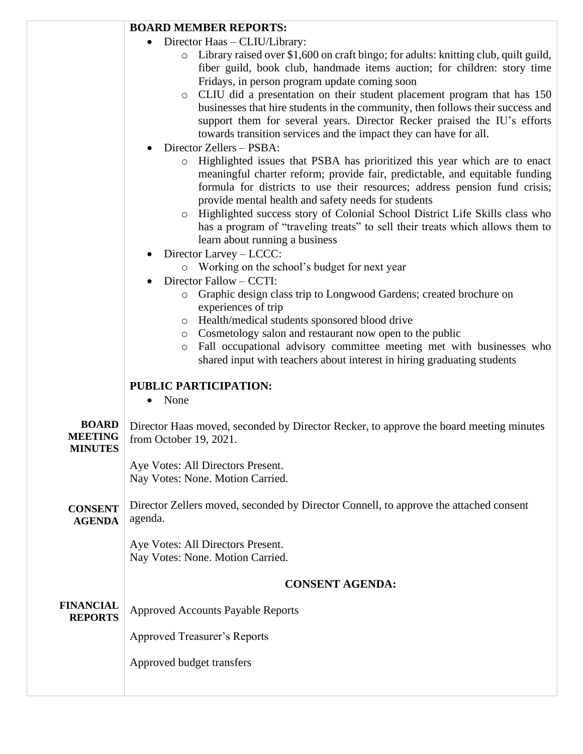|                                                  | <b>BOARD MEMBER REPORTS:</b>                                                                                                                                                                                                                                                                                                                                                                                                                                                                                                                                                                                                                                                                                                                                                                                                                                                                                                                                                                                                                                                                                                                                                                                                                                                                                                                                                                                                                                               |
|--------------------------------------------------|----------------------------------------------------------------------------------------------------------------------------------------------------------------------------------------------------------------------------------------------------------------------------------------------------------------------------------------------------------------------------------------------------------------------------------------------------------------------------------------------------------------------------------------------------------------------------------------------------------------------------------------------------------------------------------------------------------------------------------------------------------------------------------------------------------------------------------------------------------------------------------------------------------------------------------------------------------------------------------------------------------------------------------------------------------------------------------------------------------------------------------------------------------------------------------------------------------------------------------------------------------------------------------------------------------------------------------------------------------------------------------------------------------------------------------------------------------------------------|
|                                                  | Director Haas - CLIU/Library:<br>Library raised over \$1,600 on craft bingo; for adults: knitting club, quilt guild,<br>$\circ$<br>fiber guild, book club, handmade items auction; for children: story time<br>Fridays, in person program update coming soon<br>CLIU did a presentation on their student placement program that has 150<br>$\circ$<br>businesses that hire students in the community, then follows their success and<br>support them for several years. Director Recker praised the IU's efforts<br>towards transition services and the impact they can have for all.<br>Director Zellers - PSBA:<br>Highlighted issues that PSBA has prioritized this year which are to enact<br>$\circ$<br>meaningful charter reform; provide fair, predictable, and equitable funding<br>formula for districts to use their resources; address pension fund crisis;<br>provide mental health and safety needs for students<br>o Highlighted success story of Colonial School District Life Skills class who<br>has a program of "traveling treats" to sell their treats which allows them to<br>learn about running a business<br>Director Larvey - LCCC:<br>o Working on the school's budget for next year<br>Director Fallow - CCTI:<br>Graphic design class trip to Longwood Gardens; created brochure on<br>$\circ$<br>experiences of trip<br>o Health/medical students sponsored blood drive<br>Cosmetology salon and restaurant now open to the public<br>$\circ$ |
|                                                  | Fall occupational advisory committee meeting met with businesses who<br>$\circ$<br>shared input with teachers about interest in hiring graduating students                                                                                                                                                                                                                                                                                                                                                                                                                                                                                                                                                                                                                                                                                                                                                                                                                                                                                                                                                                                                                                                                                                                                                                                                                                                                                                                 |
|                                                  | PUBLIC PARTICIPATION:<br>None<br>$\bullet$                                                                                                                                                                                                                                                                                                                                                                                                                                                                                                                                                                                                                                                                                                                                                                                                                                                                                                                                                                                                                                                                                                                                                                                                                                                                                                                                                                                                                                 |
| <b>BOARD</b><br><b>MEETING</b><br><b>MINUTES</b> | Director Haas moved, seconded by Director Recker, to approve the board meeting minutes<br>from October 19, 2021.                                                                                                                                                                                                                                                                                                                                                                                                                                                                                                                                                                                                                                                                                                                                                                                                                                                                                                                                                                                                                                                                                                                                                                                                                                                                                                                                                           |
|                                                  | Aye Votes: All Directors Present.<br>Nay Votes: None. Motion Carried.                                                                                                                                                                                                                                                                                                                                                                                                                                                                                                                                                                                                                                                                                                                                                                                                                                                                                                                                                                                                                                                                                                                                                                                                                                                                                                                                                                                                      |
| <b>CONSENT</b><br><b>AGENDA</b>                  | Director Zellers moved, seconded by Director Connell, to approve the attached consent<br>agenda.                                                                                                                                                                                                                                                                                                                                                                                                                                                                                                                                                                                                                                                                                                                                                                                                                                                                                                                                                                                                                                                                                                                                                                                                                                                                                                                                                                           |
|                                                  | Aye Votes: All Directors Present.<br>Nay Votes: None. Motion Carried.                                                                                                                                                                                                                                                                                                                                                                                                                                                                                                                                                                                                                                                                                                                                                                                                                                                                                                                                                                                                                                                                                                                                                                                                                                                                                                                                                                                                      |
|                                                  | <b>CONSENT AGENDA:</b>                                                                                                                                                                                                                                                                                                                                                                                                                                                                                                                                                                                                                                                                                                                                                                                                                                                                                                                                                                                                                                                                                                                                                                                                                                                                                                                                                                                                                                                     |
| <b>FINANCIAL</b><br><b>REPORTS</b>               | <b>Approved Accounts Payable Reports</b>                                                                                                                                                                                                                                                                                                                                                                                                                                                                                                                                                                                                                                                                                                                                                                                                                                                                                                                                                                                                                                                                                                                                                                                                                                                                                                                                                                                                                                   |
|                                                  | <b>Approved Treasurer's Reports</b>                                                                                                                                                                                                                                                                                                                                                                                                                                                                                                                                                                                                                                                                                                                                                                                                                                                                                                                                                                                                                                                                                                                                                                                                                                                                                                                                                                                                                                        |
|                                                  | Approved budget transfers                                                                                                                                                                                                                                                                                                                                                                                                                                                                                                                                                                                                                                                                                                                                                                                                                                                                                                                                                                                                                                                                                                                                                                                                                                                                                                                                                                                                                                                  |
|                                                  |                                                                                                                                                                                                                                                                                                                                                                                                                                                                                                                                                                                                                                                                                                                                                                                                                                                                                                                                                                                                                                                                                                                                                                                                                                                                                                                                                                                                                                                                            |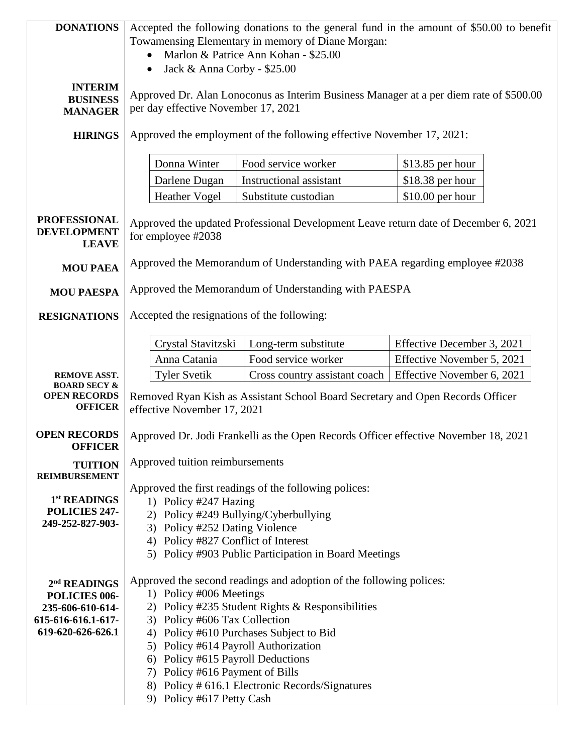| <b>DONATIONS</b>                                                 | Accepted the following donations to the general fund in the amount of \$50.00 to benefit<br>Towamensing Elementary in memory of Diane Morgan:<br>Marlon & Patrice Ann Kohan - \$25.00<br>Jack & Anna Corby - \$25.00<br>$\bullet$ |                                                                     |                            |  |  |
|------------------------------------------------------------------|-----------------------------------------------------------------------------------------------------------------------------------------------------------------------------------------------------------------------------------|---------------------------------------------------------------------|----------------------------|--|--|
| <b>INTERIM</b><br><b>BUSINESS</b><br><b>MANAGER</b>              | Approved Dr. Alan Lonoconus as Interim Business Manager at a per diem rate of \$500.00<br>per day effective November 17, 2021                                                                                                     |                                                                     |                            |  |  |
| <b>HIRINGS</b>                                                   | Approved the employment of the following effective November 17, 2021:                                                                                                                                                             |                                                                     |                            |  |  |
|                                                                  | Donna Winter                                                                                                                                                                                                                      | Food service worker                                                 | $$13.85$ per hour          |  |  |
|                                                                  | Darlene Dugan                                                                                                                                                                                                                     | <b>Instructional assistant</b>                                      | $$18.38$ per hour          |  |  |
|                                                                  | <b>Heather Vogel</b>                                                                                                                                                                                                              | Substitute custodian                                                | $$10.00$ per hour          |  |  |
| <b>PROFESSIONAL</b><br><b>DEVELOPMENT</b><br><b>LEAVE</b>        | Approved the updated Professional Development Leave return date of December 6, 2021<br>for employee #2038                                                                                                                         |                                                                     |                            |  |  |
| <b>MOU PAEA</b>                                                  | Approved the Memorandum of Understanding with PAEA regarding employee #2038                                                                                                                                                       |                                                                     |                            |  |  |
| <b>MOU PAESPA</b>                                                | Approved the Memorandum of Understanding with PAESPA                                                                                                                                                                              |                                                                     |                            |  |  |
| <b>RESIGNATIONS</b>                                              | Accepted the resignations of the following:                                                                                                                                                                                       |                                                                     |                            |  |  |
|                                                                  | Crystal Stavitzski                                                                                                                                                                                                                | Long-term substitute                                                | Effective December 3, 2021 |  |  |
|                                                                  | Anna Catania                                                                                                                                                                                                                      | Food service worker                                                 | Effective November 5, 2021 |  |  |
| <b>REMOVE ASST.</b>                                              | <b>Tyler Svetik</b>                                                                                                                                                                                                               | Cross country assistant coach                                       | Effective November 6, 2021 |  |  |
| <b>BOARD SECY &amp;</b><br><b>OPEN RECORDS</b><br><b>OFFICER</b> | Removed Ryan Kish as Assistant School Board Secretary and Open Records Officer<br>effective November 17, 2021                                                                                                                     |                                                                     |                            |  |  |
| <b>OPEN RECORDS</b><br><b>OFFICER</b>                            | Approved Dr. Jodi Frankelli as the Open Records Officer effective November 18, 2021                                                                                                                                               |                                                                     |                            |  |  |
| <b>TUITION</b><br><b>REIMBURSEMENT</b>                           | Approved tuition reimbursements                                                                                                                                                                                                   |                                                                     |                            |  |  |
|                                                                  | Approved the first readings of the following polices:                                                                                                                                                                             |                                                                     |                            |  |  |
| 1 <sup>st</sup> READINGS<br>POLICIES 247-                        | 1) Policy #247 Hazing                                                                                                                                                                                                             |                                                                     |                            |  |  |
| 249-252-827-903-                                                 | 2) Policy #249 Bullying/Cyberbullying<br>3) Policy #252 Dating Violence                                                                                                                                                           |                                                                     |                            |  |  |
|                                                                  | 4) Policy #827 Conflict of Interest                                                                                                                                                                                               |                                                                     |                            |  |  |
|                                                                  |                                                                                                                                                                                                                                   | 5) Policy #903 Public Participation in Board Meetings               |                            |  |  |
|                                                                  |                                                                                                                                                                                                                                   |                                                                     |                            |  |  |
| 2 <sup>nd</sup> READINGS<br>POLICIES 006-                        | 1) Policy #006 Meetings                                                                                                                                                                                                           | Approved the second readings and adoption of the following polices: |                            |  |  |
| 235-606-610-614-                                                 |                                                                                                                                                                                                                                   | 2) Policy #235 Student Rights & Responsibilities                    |                            |  |  |
| 615-616-616.1-617-                                               | 3) Policy #606 Tax Collection                                                                                                                                                                                                     |                                                                     |                            |  |  |
| 619-620-626-626.1                                                | 4) Policy #610 Purchases Subject to Bid                                                                                                                                                                                           |                                                                     |                            |  |  |
|                                                                  | 5) Policy #614 Payroll Authorization                                                                                                                                                                                              |                                                                     |                            |  |  |
|                                                                  | 6) Policy #615 Payroll Deductions<br>7) Policy #616 Payment of Bills                                                                                                                                                              |                                                                     |                            |  |  |
|                                                                  |                                                                                                                                                                                                                                   | 8) Policy # 616.1 Electronic Records/Signatures                     |                            |  |  |
|                                                                  | 9) Policy #617 Petty Cash                                                                                                                                                                                                         |                                                                     |                            |  |  |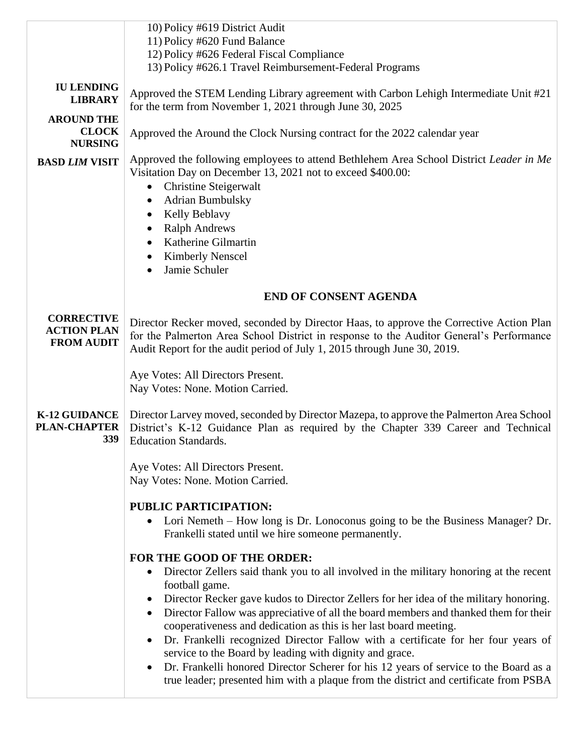|                                                              | 10) Policy #619 District Audit<br>11) Policy #620 Fund Balance<br>12) Policy #626 Federal Fiscal Compliance                                                                                                                                                                                                                                                                                                                                                                                                                                                                                                                                                                                                                               |  |  |
|--------------------------------------------------------------|-------------------------------------------------------------------------------------------------------------------------------------------------------------------------------------------------------------------------------------------------------------------------------------------------------------------------------------------------------------------------------------------------------------------------------------------------------------------------------------------------------------------------------------------------------------------------------------------------------------------------------------------------------------------------------------------------------------------------------------------|--|--|
|                                                              | 13) Policy #626.1 Travel Reimbursement-Federal Programs                                                                                                                                                                                                                                                                                                                                                                                                                                                                                                                                                                                                                                                                                   |  |  |
| <b>IU LENDING</b><br><b>LIBRARY</b>                          | Approved the STEM Lending Library agreement with Carbon Lehigh Intermediate Unit #21<br>for the term from November 1, 2021 through June 30, 2025                                                                                                                                                                                                                                                                                                                                                                                                                                                                                                                                                                                          |  |  |
| <b>AROUND THE</b><br><b>CLOCK</b><br><b>NURSING</b>          | Approved the Around the Clock Nursing contract for the 2022 calendar year                                                                                                                                                                                                                                                                                                                                                                                                                                                                                                                                                                                                                                                                 |  |  |
| <b>BASD LIM VISIT</b>                                        | Approved the following employees to attend Bethlehem Area School District Leader in Me<br>Visitation Day on December 13, 2021 not to exceed \$400.00:<br><b>Christine Steigerwalt</b><br><b>Adrian Bumbulsky</b><br>$\bullet$<br>Kelly Beblavy<br><b>Ralph Andrews</b><br>Katherine Gilmartin<br><b>Kimberly Nenscel</b><br>Jamie Schuler                                                                                                                                                                                                                                                                                                                                                                                                 |  |  |
|                                                              | <b>END OF CONSENT AGENDA</b>                                                                                                                                                                                                                                                                                                                                                                                                                                                                                                                                                                                                                                                                                                              |  |  |
| <b>CORRECTIVE</b><br><b>ACTION PLAN</b><br><b>FROM AUDIT</b> | Director Recker moved, seconded by Director Haas, to approve the Corrective Action Plan<br>for the Palmerton Area School District in response to the Auditor General's Performance<br>Audit Report for the audit period of July 1, 2015 through June 30, 2019.                                                                                                                                                                                                                                                                                                                                                                                                                                                                            |  |  |
|                                                              | Aye Votes: All Directors Present.<br>Nay Votes: None. Motion Carried.                                                                                                                                                                                                                                                                                                                                                                                                                                                                                                                                                                                                                                                                     |  |  |
| <b>K-12 GUIDANCE</b><br><b>PLAN-CHAPTER</b><br>339           | Director Larvey moved, seconded by Director Mazepa, to approve the Palmerton Area School<br>District's K-12 Guidance Plan as required by the Chapter 339 Career and Technical<br><b>Education Standards.</b>                                                                                                                                                                                                                                                                                                                                                                                                                                                                                                                              |  |  |
|                                                              | Aye Votes: All Directors Present.<br>Nay Votes: None. Motion Carried.                                                                                                                                                                                                                                                                                                                                                                                                                                                                                                                                                                                                                                                                     |  |  |
|                                                              | <b>PUBLIC PARTICIPATION:</b><br>Lori Nemeth – How long is Dr. Lonoconus going to be the Business Manager? Dr.<br>$\bullet$<br>Frankelli stated until we hire someone permanently.                                                                                                                                                                                                                                                                                                                                                                                                                                                                                                                                                         |  |  |
|                                                              | FOR THE GOOD OF THE ORDER:<br>Director Zellers said thank you to all involved in the military honoring at the recent<br>$\bullet$<br>football game.<br>Director Recker gave kudos to Director Zellers for her idea of the military honoring.<br>Director Fallow was appreciative of all the board members and thanked them for their<br>cooperativeness and dedication as this is her last board meeting.<br>Dr. Frankelli recognized Director Fallow with a certificate for her four years of<br>service to the Board by leading with dignity and grace.<br>Dr. Frankelli honored Director Scherer for his 12 years of service to the Board as a<br>true leader; presented him with a plaque from the district and certificate from PSBA |  |  |